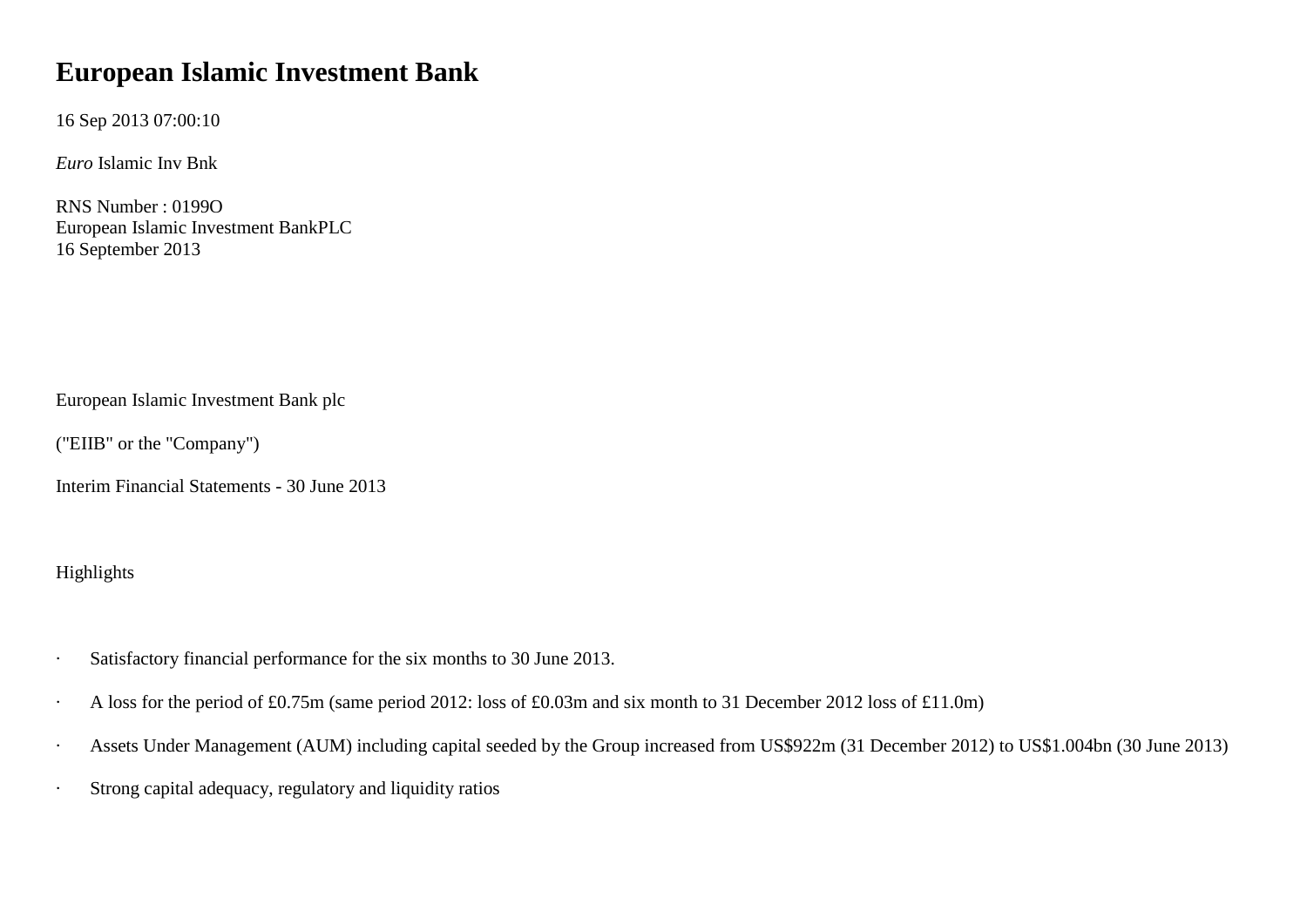## **European Islamic Investment Bank**

16 Sep 2013 07:00:10

*Euro* Islamic Inv Bnk

RNS Number : 0199O European Islamic Investment BankPLC 16 September 2013

European Islamic Investment Bank plc

("EIIB" or the "Company")

Interim Financial Statements - 30 June 2013

Highlights

- · Satisfactory financial performance for the six months to 30 June 2013.
- · A loss for the period of £0.75m (same period 2012: loss of £0.03m and six month to 31 December 2012 loss of £11.0m)
- · Assets Under Management (AUM) including capital seeded by the Group increased from US\$922m (31 December 2012) to US\$1.004bn (30 June 2013)
- · Strong capital adequacy, regulatory and liquidity ratios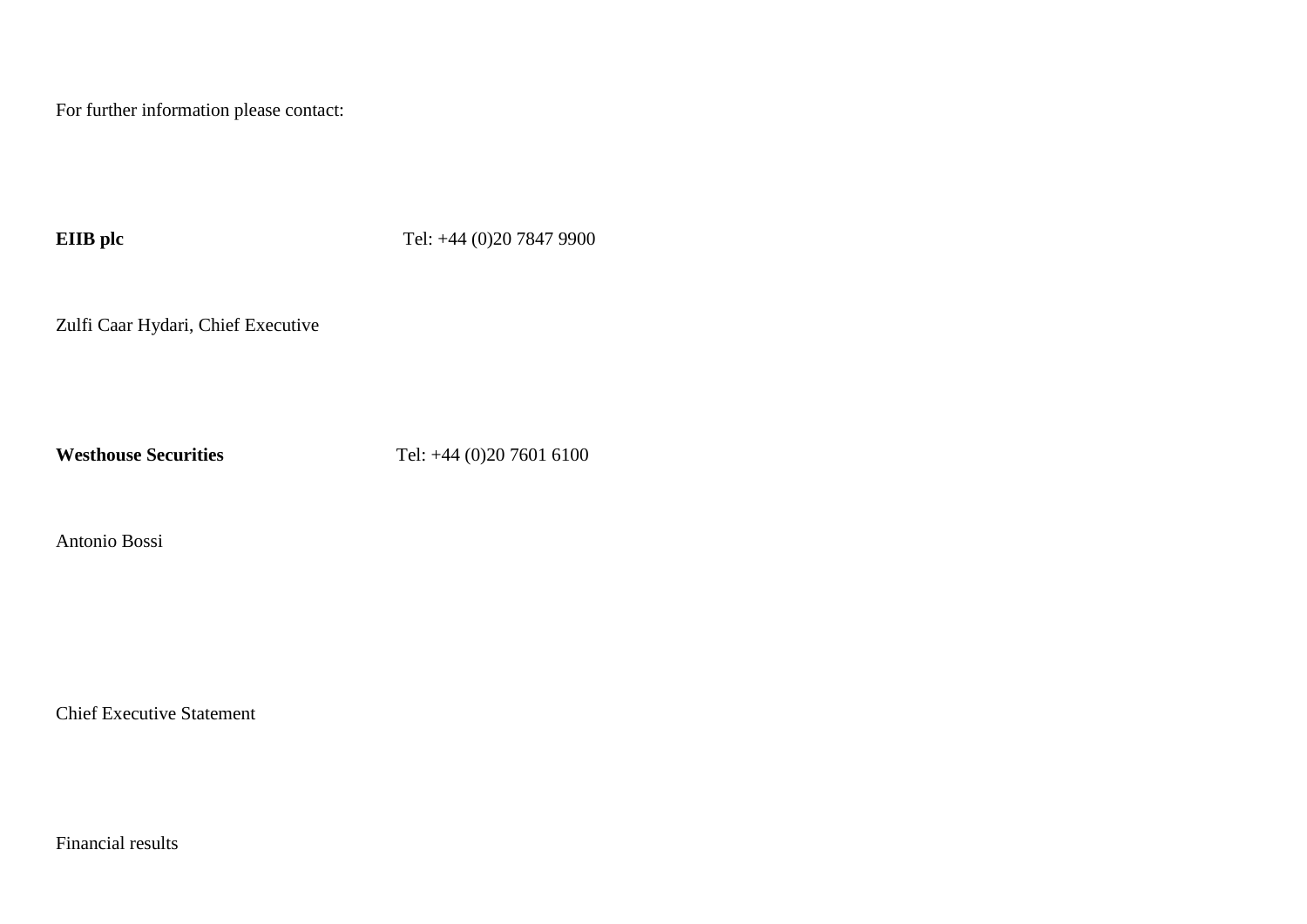For further information please contact:

**EIIB plc** Tel: +44 (0)20 7847 9900

Zulfi Caar Hydari, Chief Executive

**Westhouse Securities** Tel: +44 (0)20 7601 6100

Antonio Bossi

Chief Executive Statement

Financial results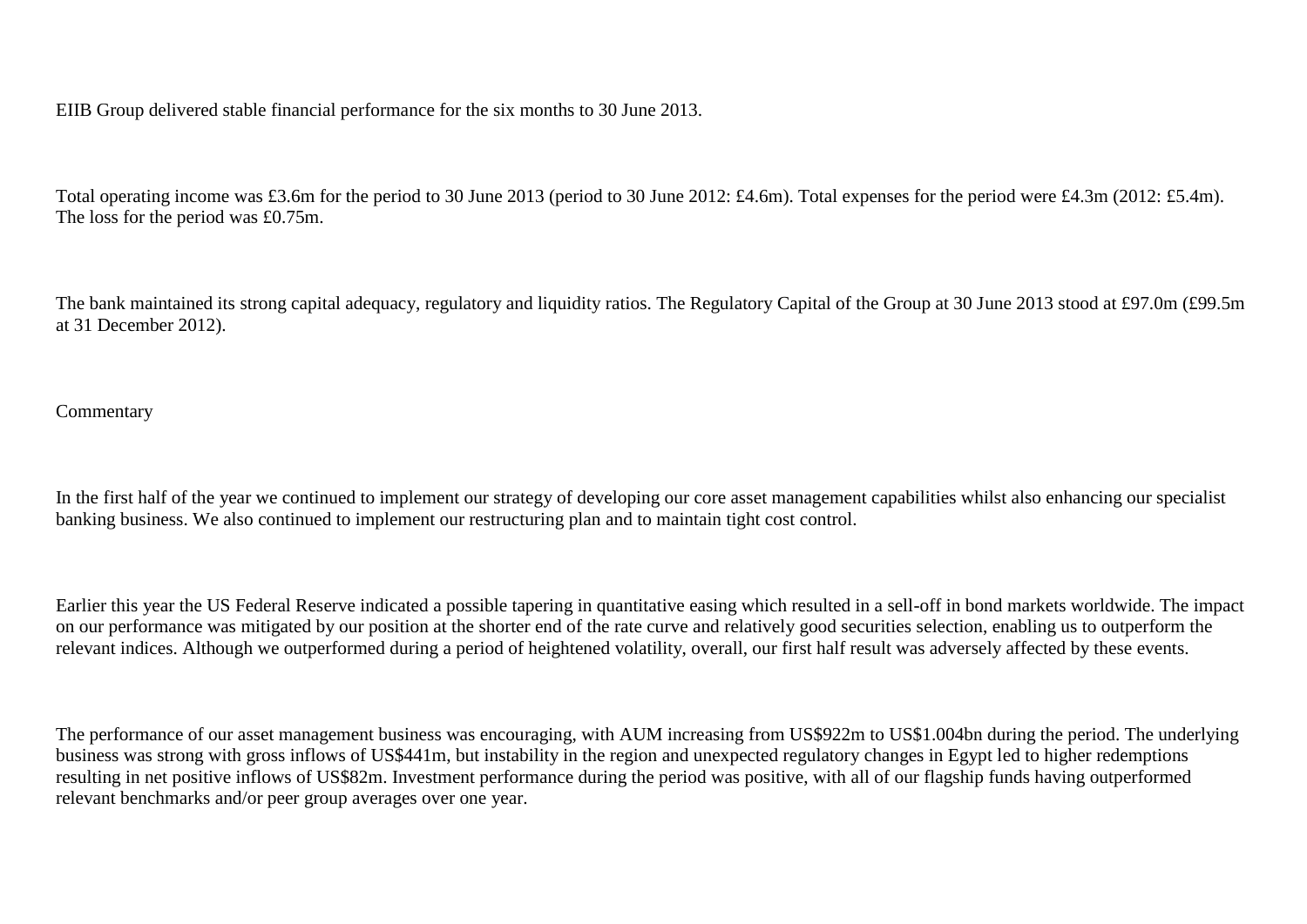EIIB Group delivered stable financial performance for the six months to 30 June 2013.

Total operating income was £3.6m for the period to 30 June 2013 (period to 30 June 2012: £4.6m). Total expenses for the period were £4.3m (2012: £5.4m). The loss for the period was £0.75m.

The bank maintained its strong capital adequacy, regulatory and liquidity ratios. The Regulatory Capital of the Group at 30 June 2013 stood at £97.0m (£99.5m) at 31 December 2012).

Commentary

In the first half of the year we continued to implement our strategy of developing our core asset management capabilities whilst also enhancing our specialist banking business. We also continued to implement our restructuring plan and to maintain tight cost control.

Earlier this year the US Federal Reserve indicated a possible tapering in quantitative easing which resulted in a sell-off in bond markets worldwide. The impact on our performance was mitigated by our position at the shorter end of the rate curve and relatively good securities selection, enabling us to outperform the relevant indices. Although we outperformed during a period of heightened volatility, overall, our first half result was adversely affected by these events.

The performance of our asset management business was encouraging, with AUM increasing from US\$922m to US\$1.004bn during the period. The underlying business was strong with gross inflows of US\$441m, but instability in the region and unexpected regulatory changes in Egypt led to higher redemptions resulting in net positive inflows of US\$82m. Investment performance during the period was positive, with all of our flagship funds having outperformed relevant benchmarks and/or peer group averages over one year.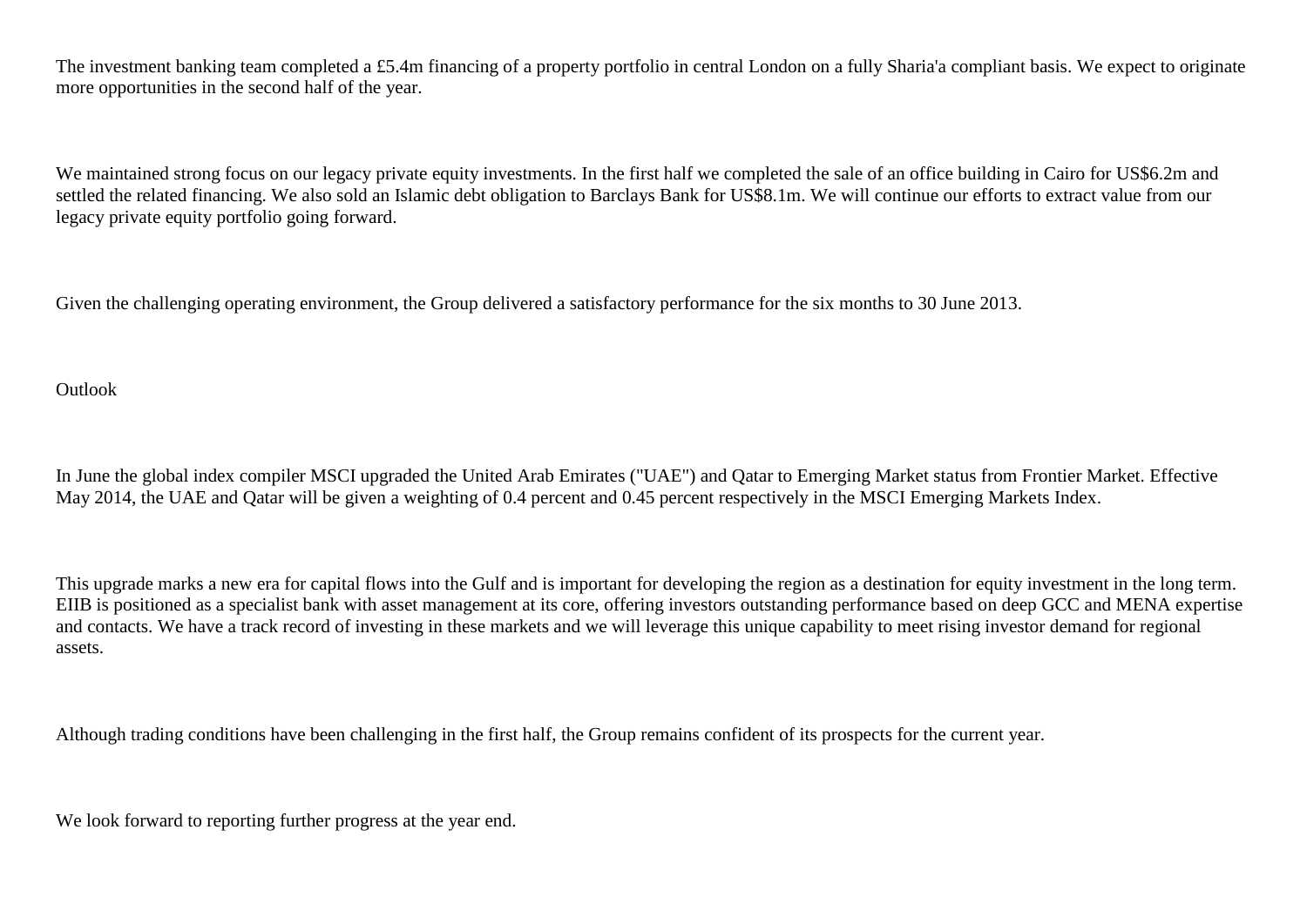The investment banking team completed a £5.4m financing of a property portfolio in central London on a fully Sharia'a compliant basis. We expect to originate more opportunities in the second half of the year.

We maintained strong focus on our legacy private equity investments. In the first half we completed the sale of an office building in Cairo for US\$6.2m and settled the related financing. We also sold an Islamic debt obligation to Barclays Bank for US\$8.1m. We will continue our efforts to extract value from our legacy private equity portfolio going forward.

Given the challenging operating environment, the Group delivered a satisfactory performance for the six months to 30 June 2013.

Outlook

In June the global index compiler MSCI upgraded the United Arab Emirates ("UAE") and Qatar to Emerging Market status from Frontier Market. Effective May 2014, the UAE and Qatar will be given a weighting of 0.4 percent and 0.45 percent respectively in the MSCI Emerging Markets Index.

This upgrade marks a new era for capital flows into the Gulf and is important for developing the region as a destination for equity investment in the long term. EIIB is positioned as a specialist bank with asset management at its core, offering investors outstanding performance based on deep GCC and MENA expertise and contacts. We have a track record of investing in these markets and we will leverage this unique capability to meet rising investor demand for regional assets.

Although trading conditions have been challenging in the first half, the Group remains confident of its prospects for the current year.

We look forward to reporting further progress at the year end.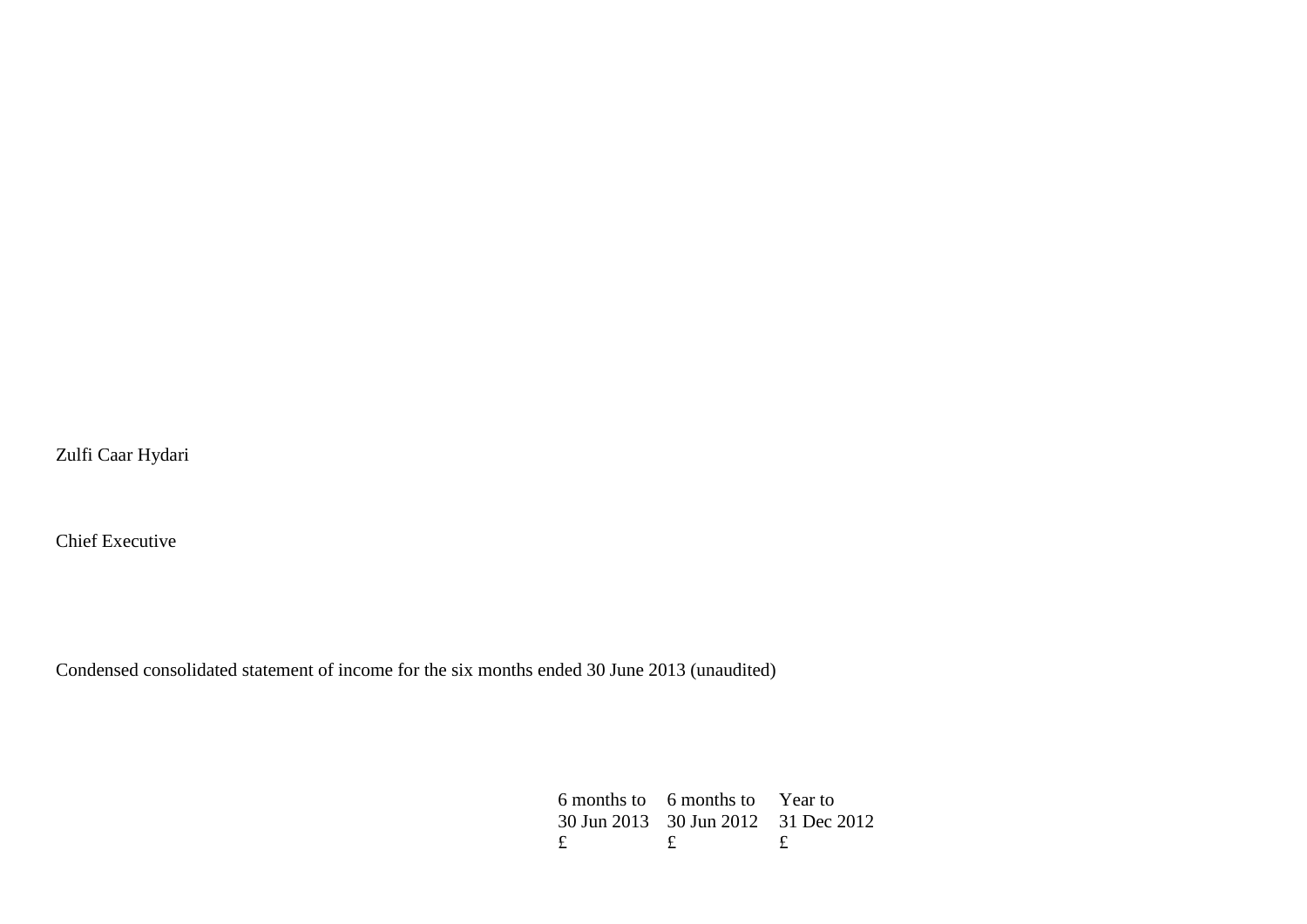Zulfi Caar Hydari

Chief Executive

Condensed consolidated statement of income for the six months ended 30 June 2013 (unaudited)

|   | 6 months to 6 months to Year to     |  |
|---|-------------------------------------|--|
|   | 30 Jun 2013 30 Jun 2012 31 Dec 2012 |  |
| £ |                                     |  |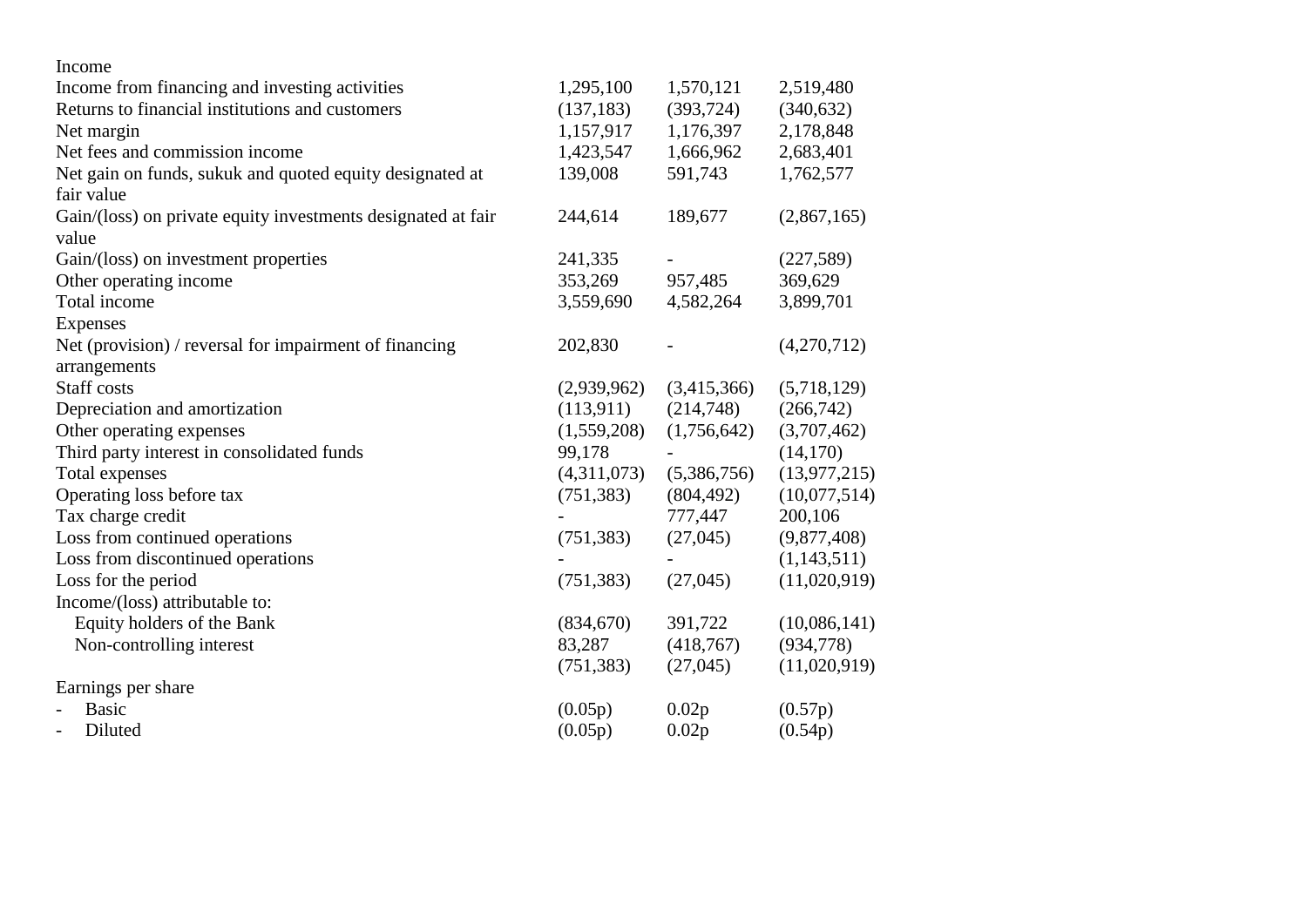| Income                                                       |             |             |                |
|--------------------------------------------------------------|-------------|-------------|----------------|
| Income from financing and investing activities               | 1,295,100   | 1,570,121   | 2,519,480      |
| Returns to financial institutions and customers              | (137, 183)  | (393, 724)  | (340, 632)     |
| Net margin                                                   | 1,157,917   | 1,176,397   | 2,178,848      |
| Net fees and commission income                               | 1,423,547   | 1,666,962   | 2,683,401      |
| Net gain on funds, sukuk and quoted equity designated at     | 139,008     | 591,743     | 1,762,577      |
| fair value                                                   |             |             |                |
| Gain/(loss) on private equity investments designated at fair | 244,614     | 189,677     | (2,867,165)    |
| value                                                        |             |             |                |
| Gain/(loss) on investment properties                         | 241,335     |             | (227, 589)     |
| Other operating income                                       | 353,269     | 957,485     | 369,629        |
| Total income                                                 | 3,559,690   | 4,582,264   | 3,899,701      |
| Expenses                                                     |             |             |                |
| Net (provision) / reversal for impairment of financing       | 202,830     |             | (4,270,712)    |
| arrangements                                                 |             |             |                |
| Staff costs                                                  | (2,939,962) | (3,415,366) | (5,718,129)    |
| Depreciation and amortization                                | (113,911)   | (214,748)   | (266,742)      |
| Other operating expenses                                     | (1,559,208) | (1,756,642) | (3,707,462)    |
| Third party interest in consolidated funds                   | 99,178      |             | (14, 170)      |
| Total expenses                                               | (4,311,073) | (5,386,756) | (13, 977, 215) |
| Operating loss before tax                                    | (751, 383)  | (804, 492)  | (10,077,514)   |
| Tax charge credit                                            |             | 777,447     | 200,106        |
| Loss from continued operations                               | (751, 383)  | (27, 045)   | (9,877,408)    |
| Loss from discontinued operations                            |             |             | (1,143,511)    |
| Loss for the period                                          | (751, 383)  | (27,045)    | (11,020,919)   |
| Income/(loss) attributable to:                               |             |             |                |
| Equity holders of the Bank                                   | (834,670)   | 391,722     | (10,086,141)   |
| Non-controlling interest                                     | 83,287      | (418,767)   | (934, 778)     |
|                                                              | (751, 383)  | (27,045)    | (11,020,919)   |
| Earnings per share                                           |             |             |                |
| <b>Basic</b>                                                 | (0.05p)     | 0.02p       | (0.57p)        |
| Diluted                                                      | (0.05p)     | 0.02p       | (0.54p)        |
|                                                              |             |             |                |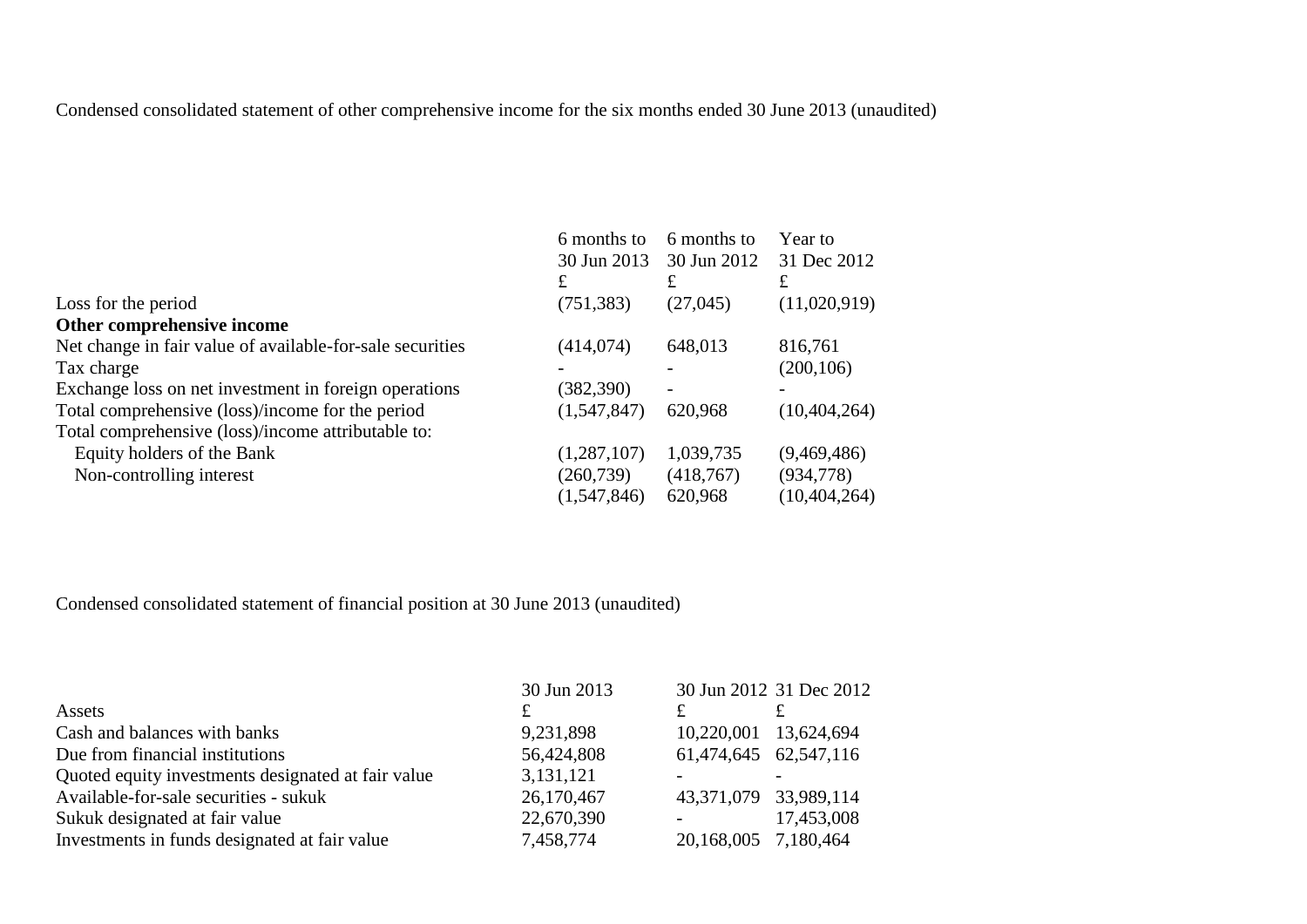## Condensed consolidated statement of other comprehensive income for the six months ended 30 June 2013 (unaudited)

|                                                           | 6 months to<br>30 Jun 2013<br>£ | 6 months to<br>30 Jun 2012<br>£ | Year to<br>31 Dec 2012<br>£ |
|-----------------------------------------------------------|---------------------------------|---------------------------------|-----------------------------|
| Loss for the period                                       | (751, 383)                      | (27,045)                        | (11,020,919)                |
| Other comprehensive income                                |                                 |                                 |                             |
| Net change in fair value of available-for-sale securities | (414, 074)                      | 648,013                         | 816,761                     |
| Tax charge                                                |                                 |                                 | (200, 106)                  |
| Exchange loss on net investment in foreign operations     | (382, 390)                      |                                 |                             |
| Total comprehensive (loss)/income for the period          | (1,547,847)                     | 620,968                         | (10, 404, 264)              |
| Total comprehensive (loss)/income attributable to:        |                                 |                                 |                             |
| Equity holders of the Bank                                | (1,287,107)                     | 1,039,735                       | (9,469,486)                 |
| Non-controlling interest                                  | (260, 739)                      | (418, 767)                      | (934, 778)                  |
|                                                           | (1,547,846)                     | 620,968                         | (10, 404, 264)              |

Condensed consolidated statement of financial position at 30 June 2013 (unaudited)

|                                                    | 30 Jun 2013 |                          | 30 Jun 2012 31 Dec 2012 |
|----------------------------------------------------|-------------|--------------------------|-------------------------|
| Assets                                             | £           |                          |                         |
| Cash and balances with banks                       | 9,231,898   | 10,220,001               | 13,624,694              |
| Due from financial institutions                    | 56,424,808  | 61,474,645 62,547,116    |                         |
| Quoted equity investments designated at fair value | 3,131,121   |                          |                         |
| Available-for-sale securities - sukuk              | 26,170,467  | 43,371,079 33,989,114    |                         |
| Sukuk designated at fair value                     | 22,670,390  | $\overline{\phantom{a}}$ | 17,453,008              |
| Investments in funds designated at fair value      | 7,458,774   | 20,168,005 7,180,464     |                         |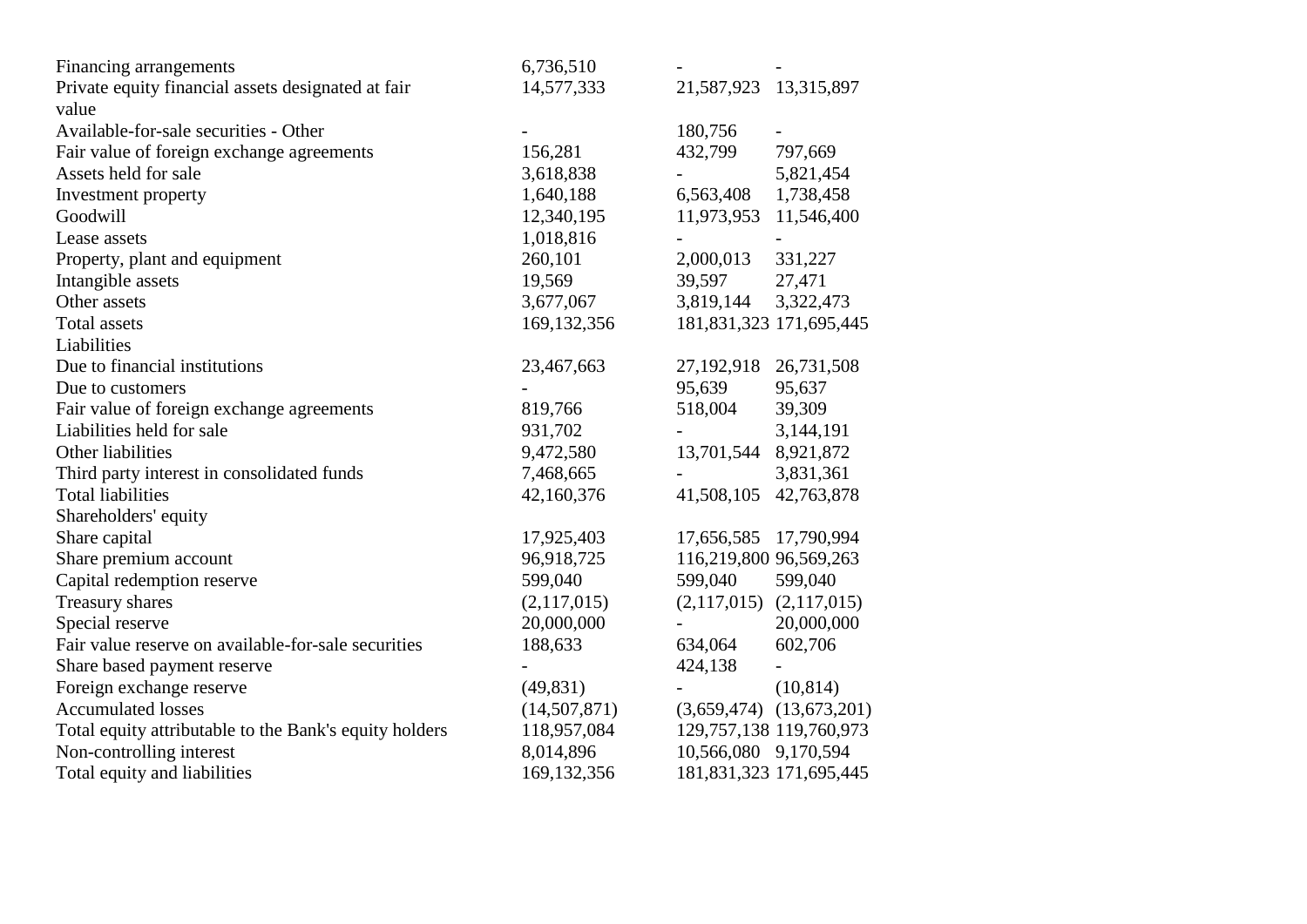| Financing arrangements                                 | 6,736,510     |                             |                              |
|--------------------------------------------------------|---------------|-----------------------------|------------------------------|
| Private equity financial assets designated at fair     | 14,577,333    | 21,587,923 13,315,897       |                              |
| value                                                  |               |                             |                              |
| Available-for-sale securities - Other                  |               | 180,756                     |                              |
| Fair value of foreign exchange agreements              | 156,281       | 432,799                     | 797,669                      |
| Assets held for sale                                   | 3,618,838     |                             | 5,821,454                    |
| Investment property                                    | 1,640,188     | 6,563,408                   | 1,738,458                    |
| Goodwill                                               | 12,340,195    | 11,973,953                  | 11,546,400                   |
| Lease assets                                           | 1,018,816     |                             |                              |
| Property, plant and equipment                          | 260,101       | 2,000,013                   | 331,227                      |
| Intangible assets                                      | 19,569        | 39,597                      | 27,471                       |
| Other assets                                           | 3,677,067     | 3,819,144                   | 3,322,473                    |
| Total assets                                           | 169, 132, 356 |                             | 181,831,323 171,695,445      |
| Liabilities                                            |               |                             |                              |
| Due to financial institutions                          | 23,467,663    | 27, 192, 918 26, 731, 508   |                              |
| Due to customers                                       |               | 95,639                      | 95,637                       |
| Fair value of foreign exchange agreements              | 819,766       | 518,004                     | 39,309                       |
| Liabilities held for sale                              | 931,702       |                             | 3,144,191                    |
| Other liabilities                                      | 9,472,580     | 13,701,544 8,921,872        |                              |
| Third party interest in consolidated funds             | 7,468,665     |                             | 3,831,361                    |
| <b>Total liabilities</b>                               | 42,160,376    | 41,508,105 42,763,878       |                              |
| Shareholders' equity                                   |               |                             |                              |
| Share capital                                          | 17,925,403    | 17,656,585 17,790,994       |                              |
| Share premium account                                  | 96,918,725    | 116,219,800 96,569,263      |                              |
| Capital redemption reserve                             | 599,040       | 599,040                     | 599,040                      |
| Treasury shares                                        | (2,117,015)   | $(2,117,015)$ $(2,117,015)$ |                              |
| Special reserve                                        | 20,000,000    |                             | 20,000,000                   |
| Fair value reserve on available-for-sale securities    | 188,633       | 634,064                     | 602,706                      |
| Share based payment reserve                            |               | 424,138                     |                              |
| Foreign exchange reserve                               | (49, 831)     |                             | (10, 814)                    |
| <b>Accumulated losses</b>                              | (14,507,871)  |                             | $(3,659,474)$ $(13,673,201)$ |
| Total equity attributable to the Bank's equity holders | 118,957,084   |                             | 129, 757, 138 119, 760, 973  |
| Non-controlling interest                               | 8,014,896     | 10,566,080 9,170,594        |                              |
| Total equity and liabilities                           | 169,132,356   |                             | 181,831,323 171,695,445      |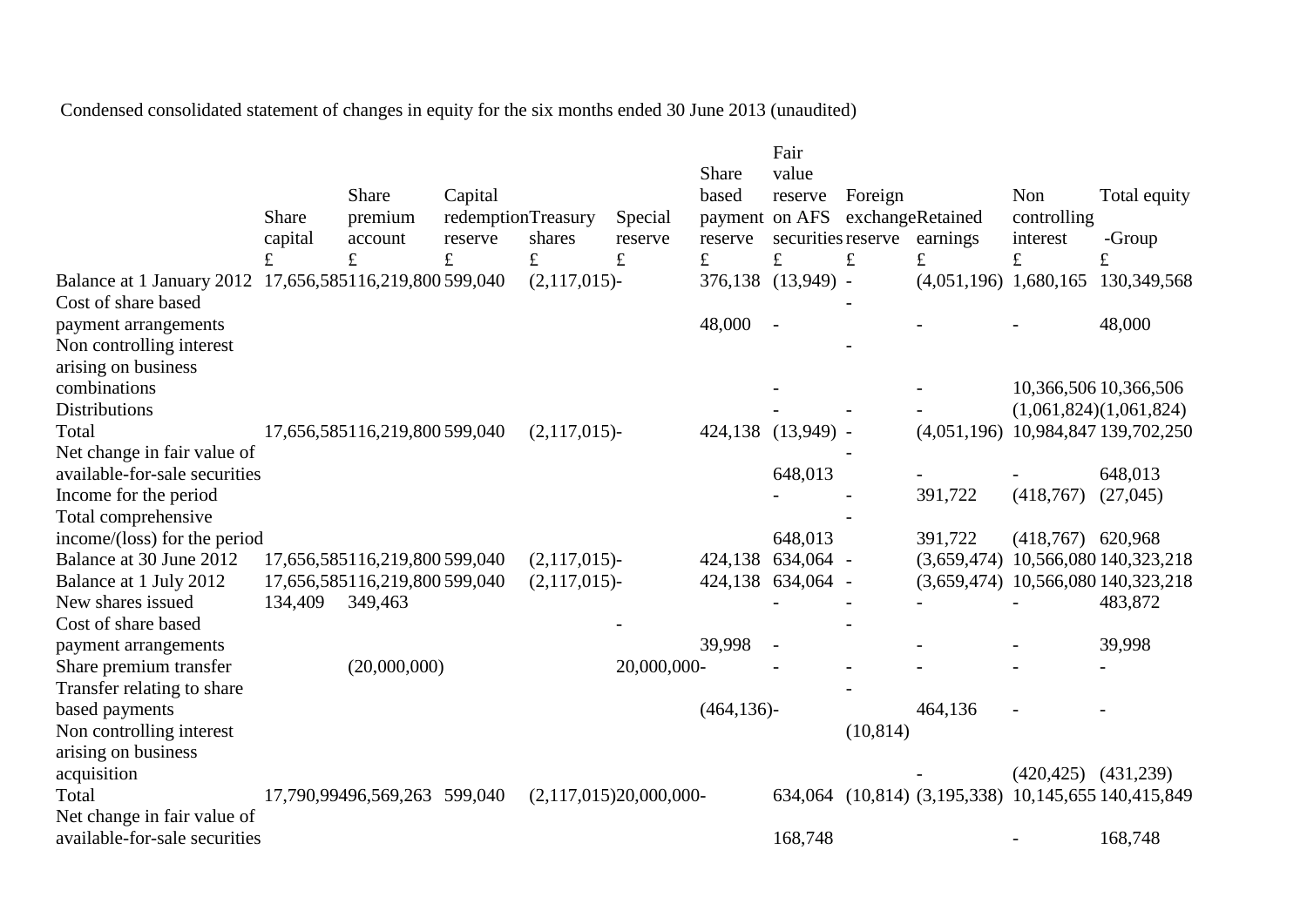Condensed consolidated statement of changes in equity for the six months ended 30 June 2013 (unaudited)

|                                                                                                | Share<br>capital<br>£ | Share<br>premium<br>account<br>$\pounds$ | Capital<br>redemptionTreasury<br>reserve<br>$\pounds$ | shares<br>$\pounds$ | Special<br>reserve<br>$\pounds$ | Share<br>based<br>payment on AFS<br>reserve<br>$\mathbf f$ | Fair<br>value<br>reserve<br>securities reserve<br>$\pounds$ | Foreign<br>$\pounds$ | exchangeRetained<br>earnings<br>$\mathbf f$ | Non<br>controlling<br>interest<br>$\pounds$ | Total equity<br>-Group<br>$\mathbf f$               |
|------------------------------------------------------------------------------------------------|-----------------------|------------------------------------------|-------------------------------------------------------|---------------------|---------------------------------|------------------------------------------------------------|-------------------------------------------------------------|----------------------|---------------------------------------------|---------------------------------------------|-----------------------------------------------------|
| Balance at 1 January 2012 17,656,585116,219,800 599,040                                        |                       |                                          |                                                       | $(2,117,015)$ -     |                                 | 376,138                                                    | $(13,949)$ -                                                |                      | $(4,051,196)$ 1,680,165                     |                                             | 130,349,568                                         |
| Cost of share based<br>payment arrangements<br>Non controlling interest<br>arising on business |                       |                                          |                                                       |                     |                                 | 48,000                                                     | $\overline{\phantom{a}}$                                    |                      |                                             |                                             | 48,000                                              |
| combinations                                                                                   |                       |                                          |                                                       |                     |                                 |                                                            |                                                             |                      |                                             |                                             | 10,366,506 10,366,506                               |
| <b>Distributions</b>                                                                           |                       |                                          |                                                       |                     |                                 |                                                            |                                                             |                      |                                             |                                             | (1,061,824)(1,061,824)                              |
| Total                                                                                          |                       | 17,656,585116,219,800 599,040            |                                                       | $(2,117,015)$ -     |                                 |                                                            | 424,138 (13,949) -                                          |                      |                                             |                                             | $(4,051,196)$ 10,984,847 139,702,250                |
| Net change in fair value of<br>available-for-sale securities<br>Income for the period          |                       |                                          |                                                       |                     |                                 |                                                            | 648,013                                                     |                      | 391,722                                     | (418,767)                                   | 648,013<br>(27, 045)                                |
| Total comprehensive                                                                            |                       |                                          |                                                       |                     |                                 |                                                            |                                                             |                      |                                             |                                             |                                                     |
| income/(loss) for the period                                                                   |                       |                                          |                                                       |                     |                                 |                                                            | 648,013                                                     |                      | 391,722                                     | $(418,767)$ 620,968                         |                                                     |
| Balance at 30 June 2012                                                                        |                       | 17,656,585116,219,800 599,040            |                                                       | $(2,117,015)$ -     |                                 |                                                            | 424,138 634,064 -                                           |                      |                                             |                                             | $(3,659,474)$ 10,566,080 140,323,218                |
| Balance at 1 July 2012                                                                         |                       | 17,656,585116,219,800 599,040            |                                                       | $(2,117,015)$ -     |                                 | 424,138                                                    | 634,064 -                                                   |                      |                                             |                                             | $(3,659,474)$ 10,566,080 140,323,218                |
| New shares issued                                                                              | 134,409               | 349,463                                  |                                                       |                     |                                 |                                                            |                                                             |                      |                                             |                                             | 483,872                                             |
| Cost of share based                                                                            |                       |                                          |                                                       |                     |                                 |                                                            |                                                             |                      |                                             |                                             |                                                     |
| payment arrangements                                                                           |                       |                                          |                                                       |                     |                                 | 39,998                                                     | $\blacksquare$                                              |                      |                                             |                                             | 39,998                                              |
| Share premium transfer                                                                         |                       | (20,000,000)                             |                                                       |                     | 20,000,000-                     |                                                            |                                                             |                      |                                             |                                             |                                                     |
| Transfer relating to share<br>based payments<br>Non controlling interest                       |                       |                                          |                                                       |                     |                                 | $(464, 136)$ -                                             |                                                             | (10, 814)            | 464,136                                     |                                             |                                                     |
| arising on business<br>acquisition                                                             |                       |                                          |                                                       |                     |                                 |                                                            |                                                             |                      |                                             | $(420, 425)$ $(431, 239)$                   |                                                     |
| Total                                                                                          |                       | 17,790,99496,569,263 599,040             |                                                       |                     | (2,117,015)20,000,000           |                                                            |                                                             |                      |                                             |                                             | 634,064 (10,814) (3,195,338) 10,145,655 140,415,849 |
| Net change in fair value of<br>available-for-sale securities                                   |                       |                                          |                                                       |                     |                                 |                                                            | 168,748                                                     |                      |                                             |                                             | 168,748                                             |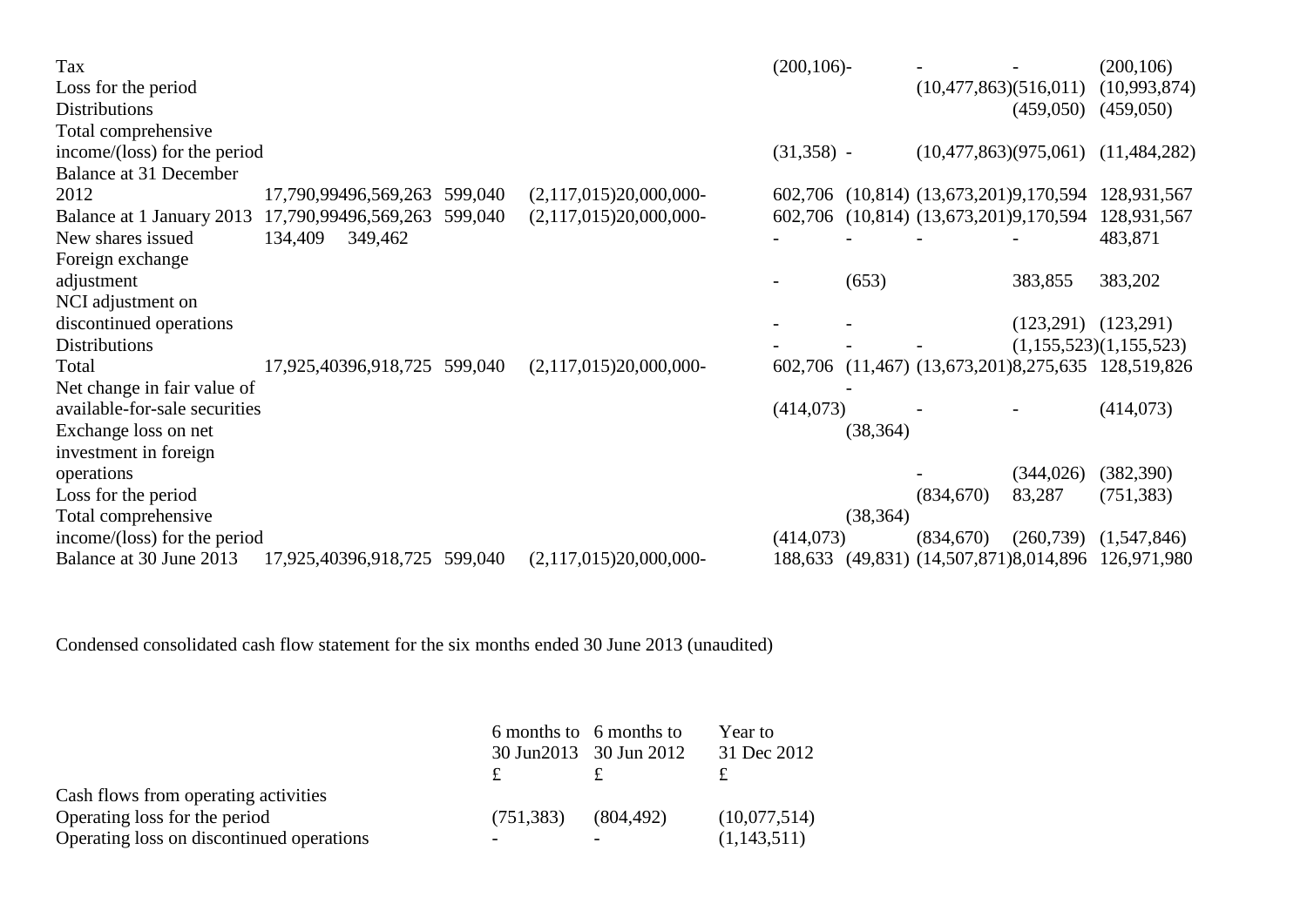| Tax                           |                              |         |                          | $(200, 106)$ - |           |                                        |                         | (200, 106)                                         |
|-------------------------------|------------------------------|---------|--------------------------|----------------|-----------|----------------------------------------|-------------------------|----------------------------------------------------|
| Loss for the period           |                              |         |                          |                |           | (10,477,863)(516,011)                  |                         | (10,993,874)                                       |
| <b>Distributions</b>          |                              |         |                          |                |           |                                        | (459,050)               | (459,050)                                          |
| Total comprehensive           |                              |         |                          |                |           |                                        |                         |                                                    |
| income/(loss) for the period  |                              |         |                          | $(31,358) -$   |           | (10,477,863)(975,061)                  |                         | (11, 484, 282)                                     |
| <b>Balance at 31 December</b> |                              |         |                          |                |           |                                        |                         |                                                    |
| 2012                          | 17,790,99496,569,263         | 599,040 | $(2,117,015)20,000,000-$ |                |           | 602,706 (10,814) (13,673,201)9,170,594 |                         | 128,931,567                                        |
| Balance at 1 January 2013     | 17,790,99496,569,263         | 599,040 | (2,117,015)20,000,000    |                |           | 602,706 (10,814) (13,673,201)9,170,594 |                         | 128,931,567                                        |
| New shares issued             | 134,409<br>349,462           |         |                          |                |           |                                        |                         | 483,871                                            |
| Foreign exchange              |                              |         |                          |                |           |                                        |                         |                                                    |
| adjustment                    |                              |         |                          |                | (653)     |                                        | 383,855                 | 383,202                                            |
| NCI adjustment on             |                              |         |                          |                |           |                                        |                         |                                                    |
| discontinued operations       |                              |         |                          |                |           |                                        | $(123,291)$ $(123,291)$ |                                                    |
| <b>Distributions</b>          |                              |         |                          |                |           |                                        |                         | (1,155,523)(1,155,523)                             |
| Total                         | 17,925,40396,918,725 599,040 |         | (2,117,015)20,000,000    |                |           |                                        |                         | 602,706 (11,467) (13,673,201)8,275,635 128,519,826 |
| Net change in fair value of   |                              |         |                          |                |           |                                        |                         |                                                    |
| available-for-sale securities |                              |         |                          | (414,073)      |           |                                        |                         | (414,073)                                          |
| Exchange loss on net          |                              |         |                          |                | (38, 364) |                                        |                         |                                                    |
| investment in foreign         |                              |         |                          |                |           |                                        |                         |                                                    |
| operations                    |                              |         |                          |                |           |                                        | (344, 026)              | (382, 390)                                         |
| Loss for the period           |                              |         |                          |                |           | (834,670)                              | 83,287                  | (751, 383)                                         |
| Total comprehensive           |                              |         |                          |                | (38, 364) |                                        |                         |                                                    |
| income/(loss) for the period  |                              |         |                          | (414,073)      |           | (834,670)                              | (260, 739)              | (1,547,846)                                        |
| Balance at 30 June 2013       | 17,925,40396,918,725 599,040 |         | (2,117,015)20,000,000    |                |           | 188,633 (49,831) (14,507,871)8,014,896 |                         | 126,971,980                                        |

Condensed consolidated cash flow statement for the six months ended 30 June 2013 (unaudited)

|                                           |            | 6 months to 6 months to | Year to      |
|-------------------------------------------|------------|-------------------------|--------------|
|                                           |            | 30 Jun2013 30 Jun 2012  | 31 Dec 2012  |
|                                           |            |                         |              |
| Cash flows from operating activities      |            |                         |              |
| Operating loss for the period             | (751, 383) | (804, 492)              | (10,077,514) |
| Operating loss on discontinued operations |            |                         | (1,143,511)  |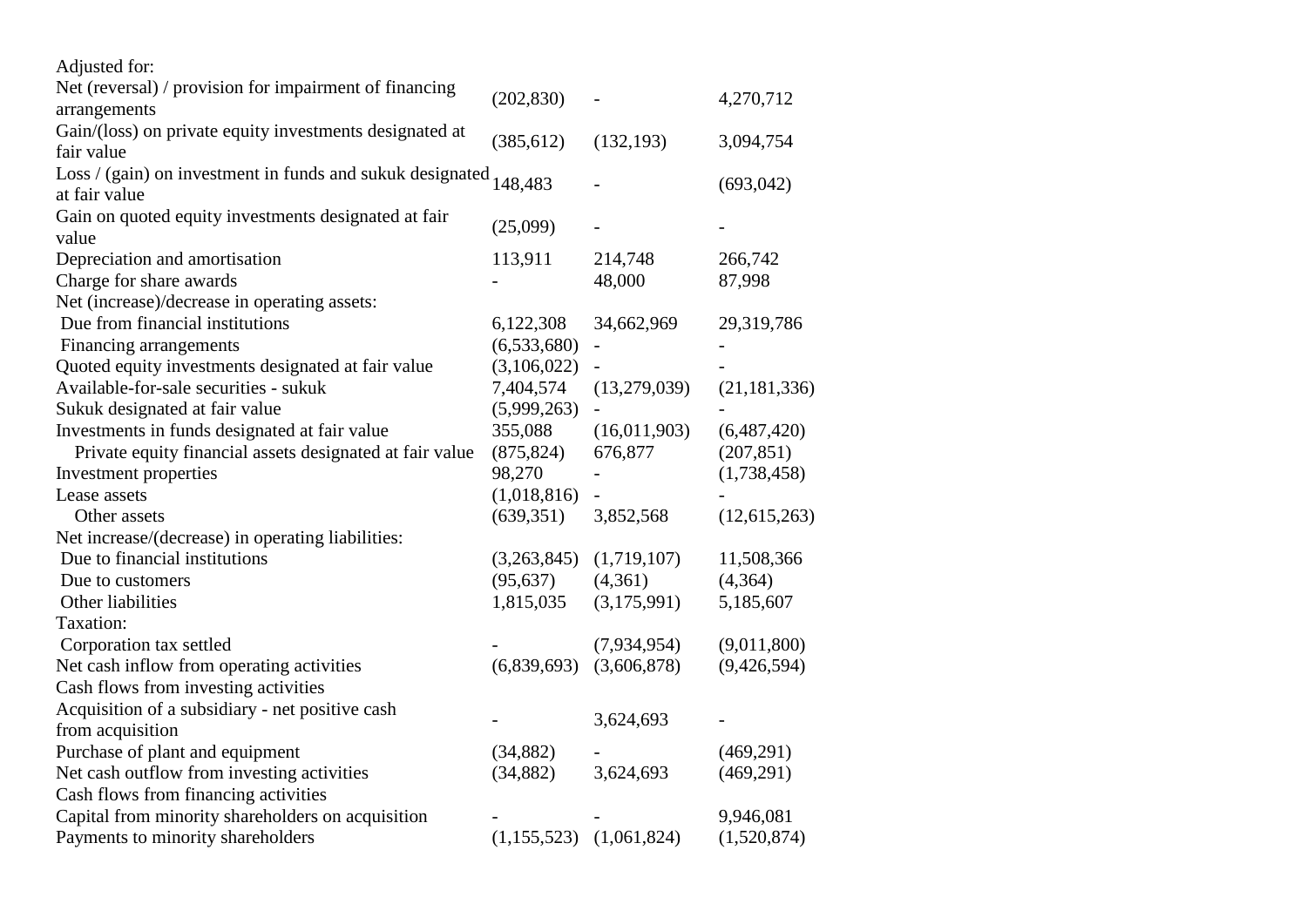| Adjusted for:                                                              |             |                |                |
|----------------------------------------------------------------------------|-------------|----------------|----------------|
| Net (reversal) / provision for impairment of financing<br>arrangements     | (202, 830)  |                | 4,270,712      |
| Gain/(loss) on private equity investments designated at<br>fair value      | (385, 612)  | (132, 193)     | 3,094,754      |
| Loss / (gain) on investment in funds and sukuk designated<br>at fair value | 148,483     |                | (693, 042)     |
| Gain on quoted equity investments designated at fair<br>value              | (25,099)    | $\overline{a}$ |                |
| Depreciation and amortisation                                              | 113,911     | 214,748        | 266,742        |
| Charge for share awards                                                    |             | 48,000         | 87,998         |
| Net (increase)/decrease in operating assets:                               |             |                |                |
| Due from financial institutions                                            | 6,122,308   | 34,662,969     | 29,319,786     |
| Financing arrangements                                                     | (6,533,680) |                |                |
| Quoted equity investments designated at fair value                         | (3,106,022) |                |                |
| Available-for-sale securities - sukuk                                      | 7,404,574   | (13,279,039)   | (21, 181, 336) |
| Sukuk designated at fair value                                             | (5,999,263) |                |                |
| Investments in funds designated at fair value                              | 355,088     | (16,011,903)   | (6,487,420)    |
| Private equity financial assets designated at fair value                   | (875, 824)  | 676,877        | (207, 851)     |
| Investment properties                                                      | 98,270      |                | (1,738,458)    |
| Lease assets                                                               | (1,018,816) |                |                |
| Other assets                                                               | (639, 351)  | 3,852,568      | (12,615,263)   |
| Net increase/(decrease) in operating liabilities:                          |             |                |                |
| Due to financial institutions                                              | (3,263,845) | (1,719,107)    | 11,508,366     |
| Due to customers                                                           | (95, 637)   | (4,361)        | (4,364)        |
| Other liabilities                                                          | 1,815,035   | (3,175,991)    | 5,185,607      |
| Taxation:                                                                  |             |                |                |
| Corporation tax settled                                                    |             | (7,934,954)    | (9,011,800)    |
| Net cash inflow from operating activities                                  | (6,839,693) | (3,606,878)    | (9,426,594)    |
| Cash flows from investing activities                                       |             |                |                |
| Acquisition of a subsidiary - net positive cash                            |             | 3,624,693      |                |
| from acquisition                                                           |             |                |                |
| Purchase of plant and equipment                                            | (34, 882)   |                | (469,291)      |
| Net cash outflow from investing activities                                 | (34, 882)   | 3,624,693      | (469,291)      |
| Cash flows from financing activities                                       |             |                |                |
| Capital from minority shareholders on acquisition                          |             |                | 9,946,081      |
| Payments to minority shareholders                                          | (1,155,523) | (1,061,824)    | (1,520,874)    |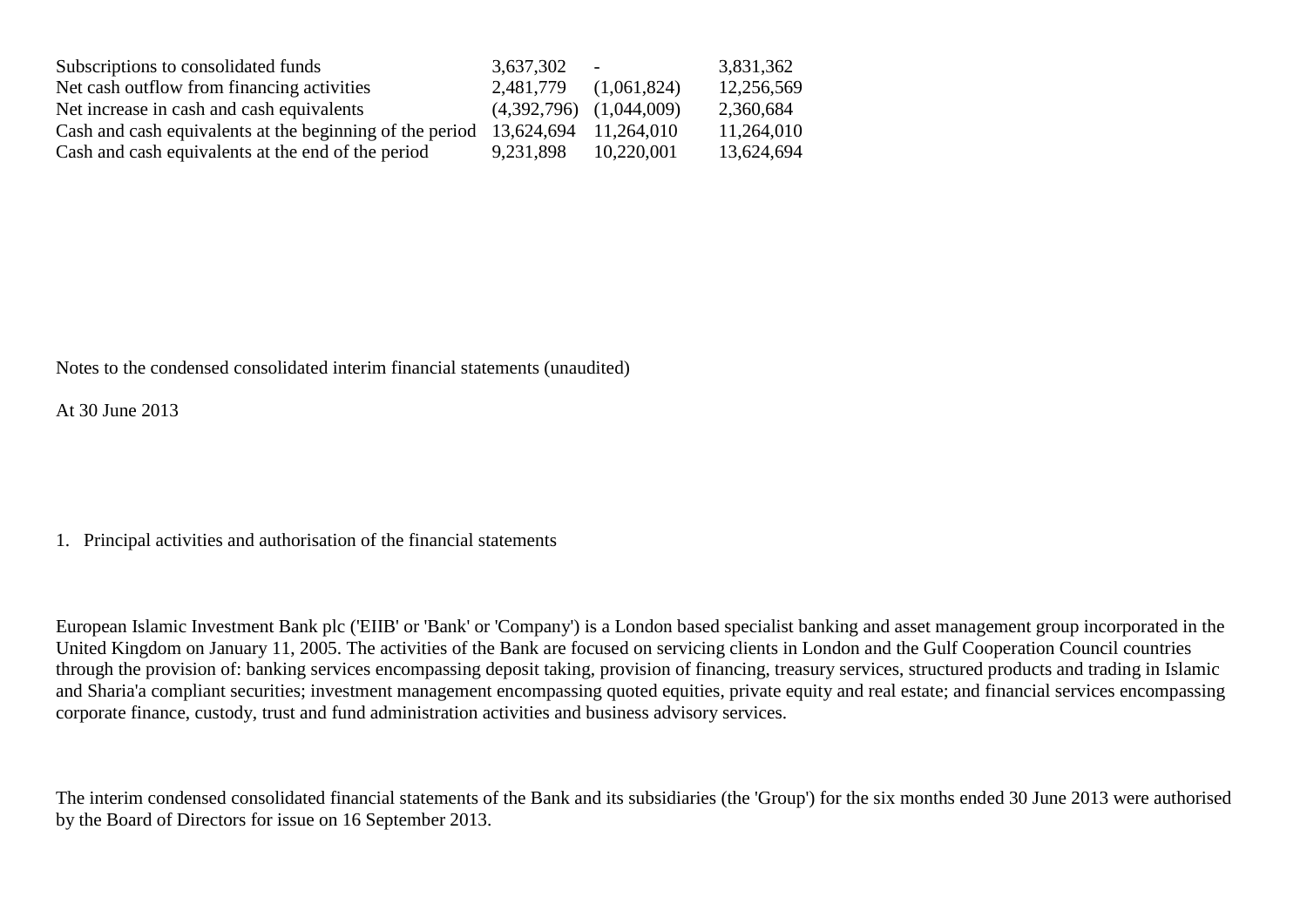| Subscriptions to consolidated funds                                                | 3,637,302 | $\sim$                      | 3,831,362  |
|------------------------------------------------------------------------------------|-----------|-----------------------------|------------|
| Net cash outflow from financing activities                                         | 2,481,779 | (1,061,824)                 | 12,256,569 |
| Net increase in cash and cash equivalents                                          |           | $(4,392,796)$ $(1,044,009)$ | 2,360,684  |
| Cash and cash equivalents at the beginning of the period $13,624,694$ $11,264,010$ |           |                             | 11,264,010 |
| Cash and cash equivalents at the end of the period                                 | 9,231,898 | 10,220,001                  | 13,624,694 |

Notes to the condensed consolidated interim financial statements (unaudited)

At 30 June 2013

1. Principal activities and authorisation of the financial statements

European Islamic Investment Bank plc ('EIIB' or 'Bank' or 'Company') is a London based specialist banking and asset management group incorporated in the United Kingdom on January 11, 2005. The activities of the Bank are focused on servicing clients in London and the Gulf Cooperation Council countries through the provision of: banking services encompassing deposit taking, provision of financing, treasury services, structured products and trading in Islamic and Sharia'a compliant securities; investment management encompassing quoted equities, private equity and real estate; and financial services encompassing corporate finance, custody, trust and fund administration activities and business advisory services.

The interim condensed consolidated financial statements of the Bank and its subsidiaries (the 'Group') for the six months ended 30 June 2013 were authorised by the Board of Directors for issue on 16 September 2013.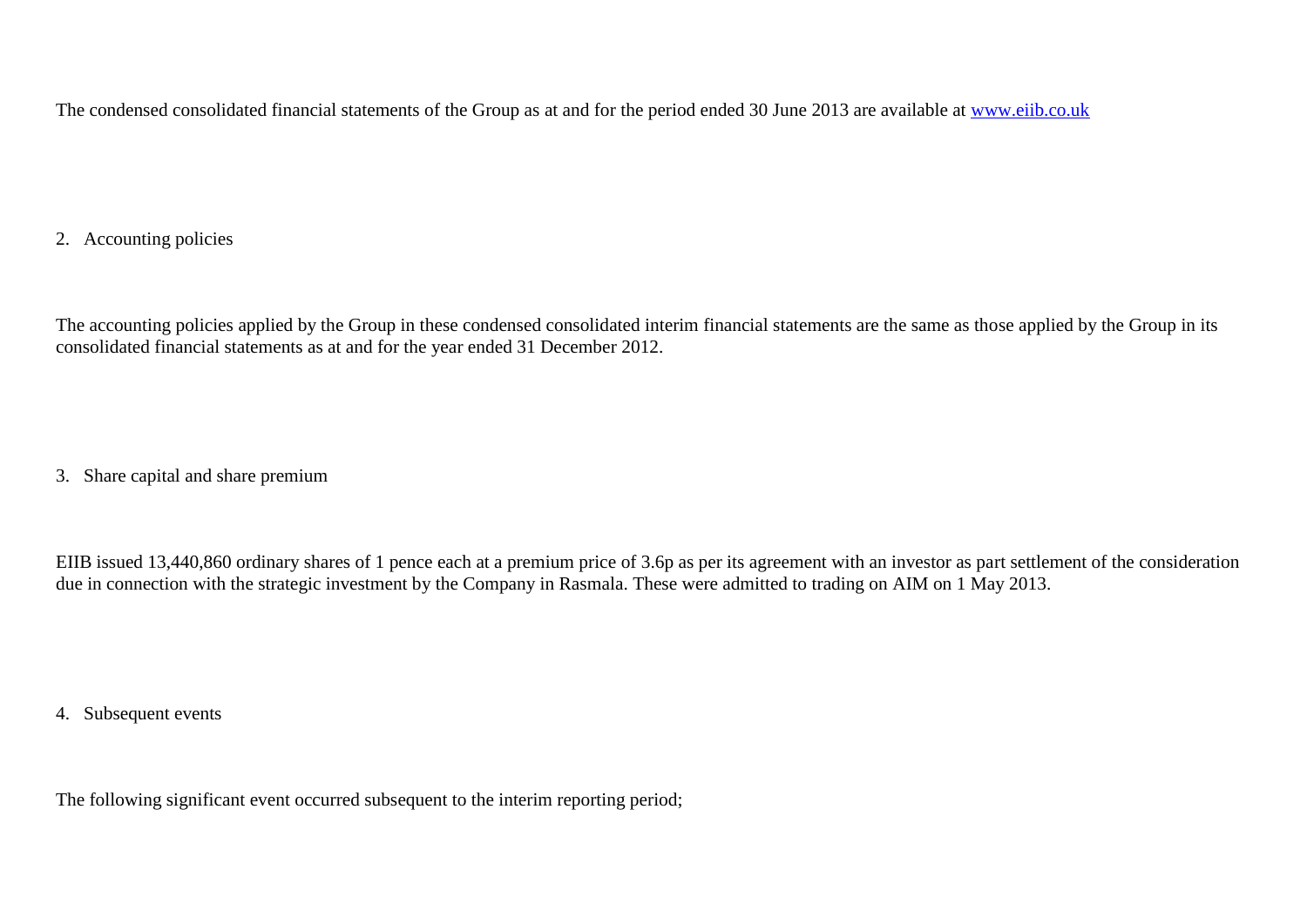The condensed consolidated financial statements of the Group as at and for the period ended 30 June 2013 are available at [www.eiib.co.uk](http://www.eiib.co.uk/)

## 2. Accounting policies

The accounting policies applied by the Group in these condensed consolidated interim financial statements are the same as those applied by the Group in its consolidated financial statements as at and for the year ended 31 December 2012.

3. Share capital and share premium

EIIB issued 13,440,860 ordinary shares of 1 pence each at a premium price of 3.6p as per its agreement with an investor as part settlement of the consideration due in connection with the strategic investment by the Company in Rasmala. These were admitted to trading on AIM on 1 May 2013.

4. Subsequent events

The following significant event occurred subsequent to the interim reporting period;